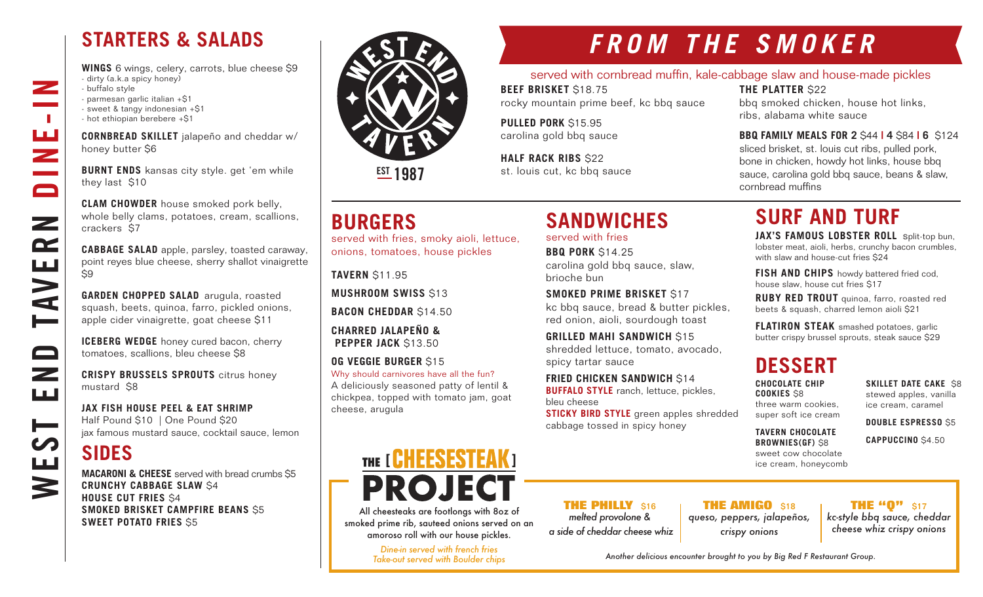## **STARTERS & SALADS**

**WINGS** 6 wings, celery, carrots, blue cheese \$9 - dirty (a.k.a spicy honey) - buffalo style - parmesan garlic italian +\$1 - sweet & tangy indonesian +\$1 - hot ethiopian berebere +\$1

**CORNBREAD SKILLET** jalapeño and cheddar w/ honey butter \$6

**BURNT ENDS** kansas city style. get 'em while they last \$10

**CLAM CHOWDER** house smoked pork belly, whole belly clams, potatoes, cream, scallions, crackers \$7

**CABBAGE SALAD** apple, parsley, toasted caraway, point reyes blue cheese, sherry shallot vinaigrette  $\overline{\mathsf{S}}9$ 

**GARDEN CHOPPED SALAD** arugula, roasted squash, beets, quinoa, farro, pickled onions, apple cider vinaigrette, goat cheese \$11

**ICEBERG WEDGE** honey cured bacon, cherry tomatoes, scallions, bleu cheese \$8

**CRISPY BRUSSELS SPROUTS** citrus honey mustard \$8

**JAX FISH HOUSE PEEL & EAT SHRIMP** Half Pound \$10 | One Pound \$20 jax famous mustard sauce, cocktail sauce, lemon

## **SIDES**

WEST END TAVERN DINE-IN

 $\overline{\phantom{a}}$ 

 $\mathbb{R}^n$ 

ш<br>Z

 $\blacksquare$ 

 $\mathbf{z}$ 

 $\mathbf{r}$ 

**AVE** 

صط

 $\qquad \qquad \Box$ 

 $\overline{\phantom{0}}$ ШÚ

┝══

<u>Lui</u>

3

**MACARONI & CHEESE** served with bread crumbs \$5 **CRUNCHY CABBAGE SLAW** \$4 **HOUSE CUT FRIES** \$4 **SMOKED BRISKET CAMPFIRE BEANS** \$5 **SWEET POTATO FRIES** S5



**EST 1987** 

## **BURGERS**

served with fries, smoky aioli, lettuce, onions, tomatoes, house pickles

**TAVERN** \$11.95

**MUSHROOM SWISS** \$13

**BACON CHEDDAR** \$14.50

**CHARRED JALAPEÑO & PEPPER JACK** \$13.50

**OG VEGGIE BURGER** \$15

Why should carnivores have all the fun? A deliciously seasoned patty of lentil & chickpea, topped with tomato jam, goat cheese, arugula

# THE [ GHEESESTEAK ] **PROJEC**

All cheesteaks are footlongs with 8oz of smoked prime rib, sauteed onions served on an amoroso roll with our house pickles.

> *Dine-in served with french fries Take-out served with Boulder chips*

**FROM THE SMOKER**

#### served with cornbread muffin, kale-cabbage slaw and house-made pickles

**BEEF BRISKET** \$18.75 rocky mountain prime beef, kc bbq sauce

**SANDWICHES** 

carolina gold bbq sauce, slaw,

**SMOKED PRIME BRISKET** \$17

 **FRIED CHICKEN SANDWICH** \$14 **BUFFALO STYLE** ranch, lettuce, pickles,

cabbage tossed in spicy honey

**THE PHILLY** \$16 *melted provolone & a side of cheddar cheese whiz*

kc bbq sauce, bread & butter pickles, red onion, aioli, sourdough toast **GRILLED MAHI SANDWICH S15** 

shredded lettuce, tomato, avocado,

**STICKY BIRD STYLE** green apples shredded

served with fries **BBQ PORK** \$14.25

spicy tartar sauce

bleu cheese

brioche bun

**PULLED PORK** \$15.95 carolina gold bbq sauce

**HALF RACK RIBS \$22** st. louis cut, kc bbq sauce **THE PLATTER** \$22

bbq smoked chicken, house hot links, ribs, alabama white sauce

#### **BBQ FAMILY MEALS FOR 2** \$44 **| 4** \$84 **| 6** \$124 sliced brisket, st. louis cut ribs, pulled pork, bone in chicken, howdy hot links, house bbq

sauce, carolina gold bbq sauce, beans & slaw, cornbread muffins

# **SURF AND TURF**

**JAX'S FAMOUS LOBSTER ROLL** split-top bun, lobster meat, aioli, herbs, crunchy bacon crumbles, with slaw and house-cut fries \$24

**FISH AND CHIPS** howdy battered fried cod, house slaw, house cut fries \$17

**RUBY RED TROUT** quinoa, farro, roasted red beets & squash, charred lemon aioli \$21

**FLATIRON STEAK** smashed potatoes, garlic butter crispy brussel sprouts, steak sauce \$29

## **DESSERT**

**CHOCOLATE CHIP COOKIES** \$8 three warm cookies, super soft ice cream

ice cream, caramel

**TAVERN CHOCOLATE** 

**BROWNIES(GF)** \$8 sweet cow chocolate ice cream, honeycomb

### **THE AMIGO** \$18 **THE "0"** \$17

*kc-style bbq sauce, cheddar cheese whiz crispy onions*

*Another delicious encounter brought to you by Big Red F Restaurant Group.*

*queso, peppers, jalapeños, crispy onions*

**SKILLET DATE CAKE S8** stewed apples, vanilla

**DOUBLE ESPRESSO** \$5

**CAPPUCCINO** \$4.50